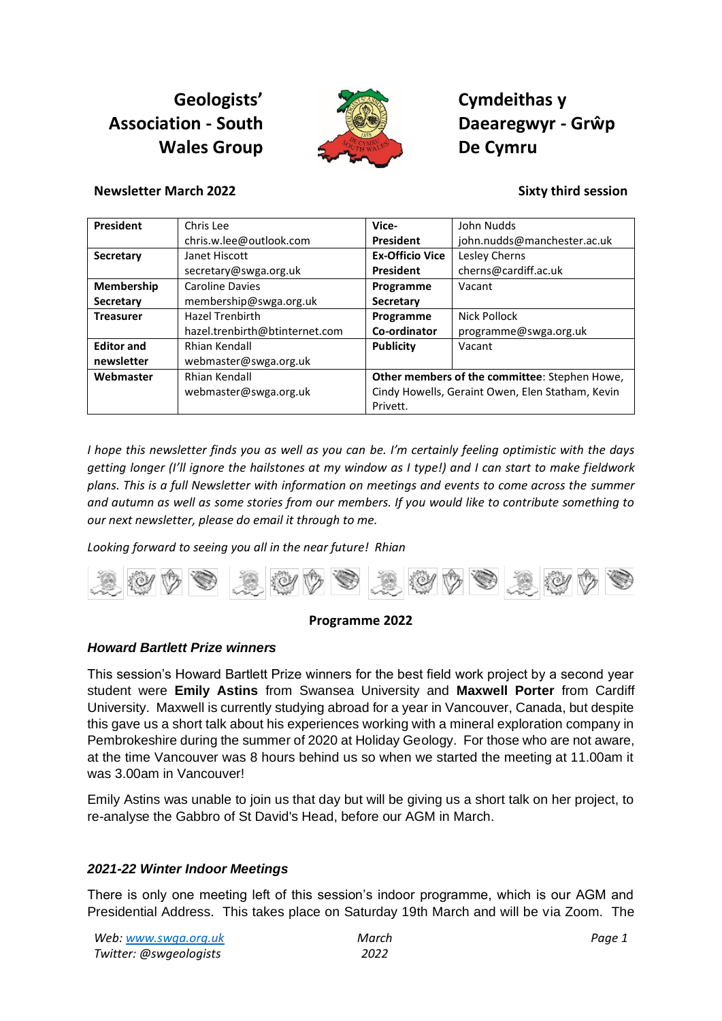# **Geologists' Association - South Wales Group**



**Cymdeithas y Daearegwyr - Grŵp De Cymru**

**Newsletter March 2022 Sixty third session**

#### **President** Chris Lee chris.w.lee@outlook.com **Vice-President** John Nudds john.nudds@manchester.ac.uk **Secretary** Janet Hiscott secretary@swga.org.uk **Ex-Officio Vice President** Lesley Cherns cherns@cardiff.ac.uk **Membership Secretary** Caroline Davies membership@swga.org.uk **Programme Secretary** Vacant **Treasurer Hazel Trenbirth** hazel.trenbirth@btinternet.com **Programme Co-ordinator** Nick Pollock programme@swga.org.uk **Editor and newsletter** Rhian Kendall webmaster@swga.org.uk **Publicity** Vacant **Webmaster** Rhian Kendall

**Other members of the committee**: Stephen Howe, Cindy Howells, Geraint Owen, Elen Statham, Kevin Privett.

*I hope this newsletter finds you as well as you can be. I'm certainly feeling optimistic with the days getting longer (I'll ignore the hailstones at my window as I type!) and I can start to make fieldwork plans. This is a full Newsletter with information on meetings and events to come across the summer and autumn as well as some stories from our members. If you would like to contribute something to our next newsletter, please do email it through to me.* 

*Looking forward to seeing you all in the near future! Rhian*

webmaster@swga.org.uk



# **Programme 2022**

# *Howard Bartlett Prize winners*

This session's Howard Bartlett Prize winners for the best field work project by a second year student were **Emily Astins** from Swansea University and **Maxwell Porter** from Cardiff University. Maxwell is currently studying abroad for a year in Vancouver, Canada, but despite this gave us a short talk about his experiences working with a mineral exploration company in Pembrokeshire during the summer of 2020 at Holiday Geology. For those who are not aware, at the time Vancouver was 8 hours behind us so when we started the meeting at 11.00am it was 3.00am in Vancouver!

Emily Astins was unable to join us that day but will be giving us a short talk on her project, to re-analyse the Gabbro of St David's Head, before our AGM in March.

# *2021-22 Winter Indoor Meetings*

There is only one meeting left of this session's indoor programme, which is our AGM and Presidential Address. This takes place on Saturday 19th March and will be via Zoom. The

| Web: www.swga.org.uk   | March |
|------------------------|-------|
| Twitter: @swgeologists | 2022  |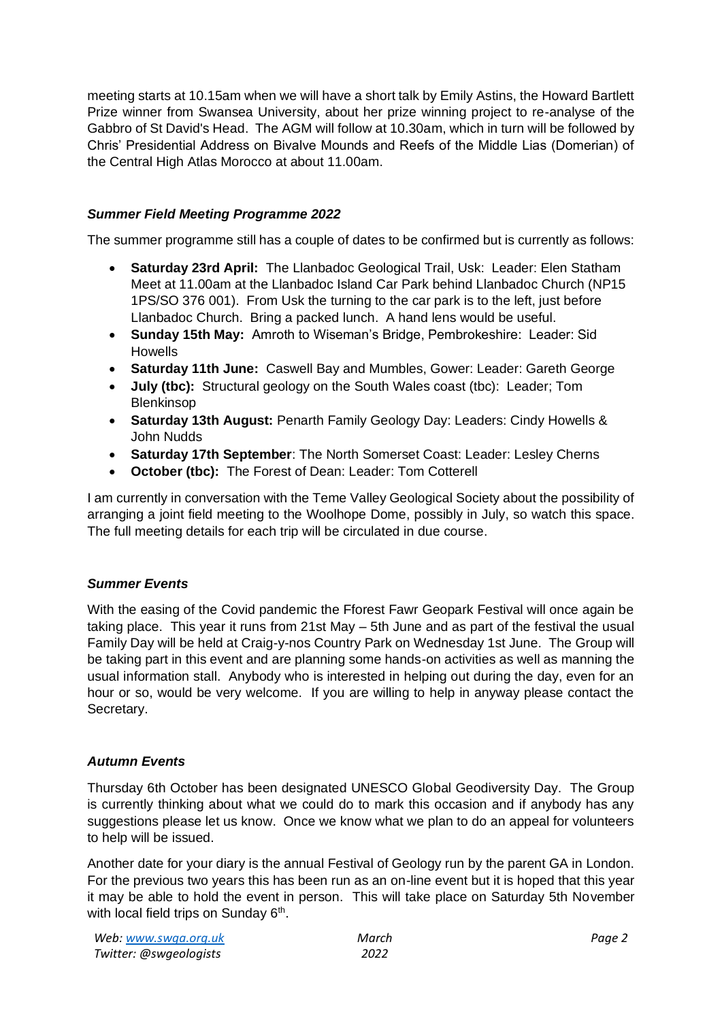meeting starts at 10.15am when we will have a short talk by Emily Astins, the Howard Bartlett Prize winner from Swansea University, about her prize winning project to re-analyse of the Gabbro of St David's Head. The AGM will follow at 10.30am, which in turn will be followed by Chris' Presidential Address on Bivalve Mounds and Reefs of the Middle Lias (Domerian) of the Central High Atlas Morocco at about 11.00am.

# *Summer Field Meeting Programme 2022*

The summer programme still has a couple of dates to be confirmed but is currently as follows:

- **Saturday 23rd April:** The Llanbadoc Geological Trail, Usk: Leader: Elen Statham Meet at 11.00am at the Llanbadoc Island Car Park behind Llanbadoc Church (NP15 1PS/SO 376 001). From Usk the turning to the car park is to the left, just before Llanbadoc Church. Bring a packed lunch. A hand lens would be useful.
- **Sunday 15th May:** Amroth to Wiseman's Bridge, Pembrokeshire: Leader: Sid Howells
- **Saturday 11th June:** Caswell Bay and Mumbles, Gower: Leader: Gareth George
- **July (tbc):** Structural geology on the South Wales coast (tbc): Leader; Tom Blenkinsop
- **Saturday 13th August:** Penarth Family Geology Day: Leaders: Cindy Howells & John Nudds
- **Saturday 17th September**: The North Somerset Coast: Leader: Lesley Cherns
- **October (tbc):** The Forest of Dean: Leader: Tom Cotterell

I am currently in conversation with the Teme Valley Geological Society about the possibility of arranging a joint field meeting to the Woolhope Dome, possibly in July, so watch this space. The full meeting details for each trip will be circulated in due course.

# *Summer Events*

With the easing of the Covid pandemic the Fforest Fawr Geopark Festival will once again be taking place. This year it runs from 21st May – 5th June and as part of the festival the usual Family Day will be held at Craig-y-nos Country Park on Wednesday 1st June. The Group will be taking part in this event and are planning some hands-on activities as well as manning the usual information stall. Anybody who is interested in helping out during the day, even for an hour or so, would be very welcome. If you are willing to help in anyway please contact the Secretary.

# *Autumn Events*

Thursday 6th October has been designated UNESCO Global Geodiversity Day. The Group is currently thinking about what we could do to mark this occasion and if anybody has any suggestions please let us know. Once we know what we plan to do an appeal for volunteers to help will be issued.

Another date for your diary is the annual Festival of Geology run by the parent GA in London. For the previous two years this has been run as an on-line event but it is hoped that this year it may be able to hold the event in person. This will take place on Saturday 5th November with local field trips on Sunday 6<sup>th</sup>.

| Web: www.swga.org.uk   | March |
|------------------------|-------|
| Twitter: @swgeologists | 2022  |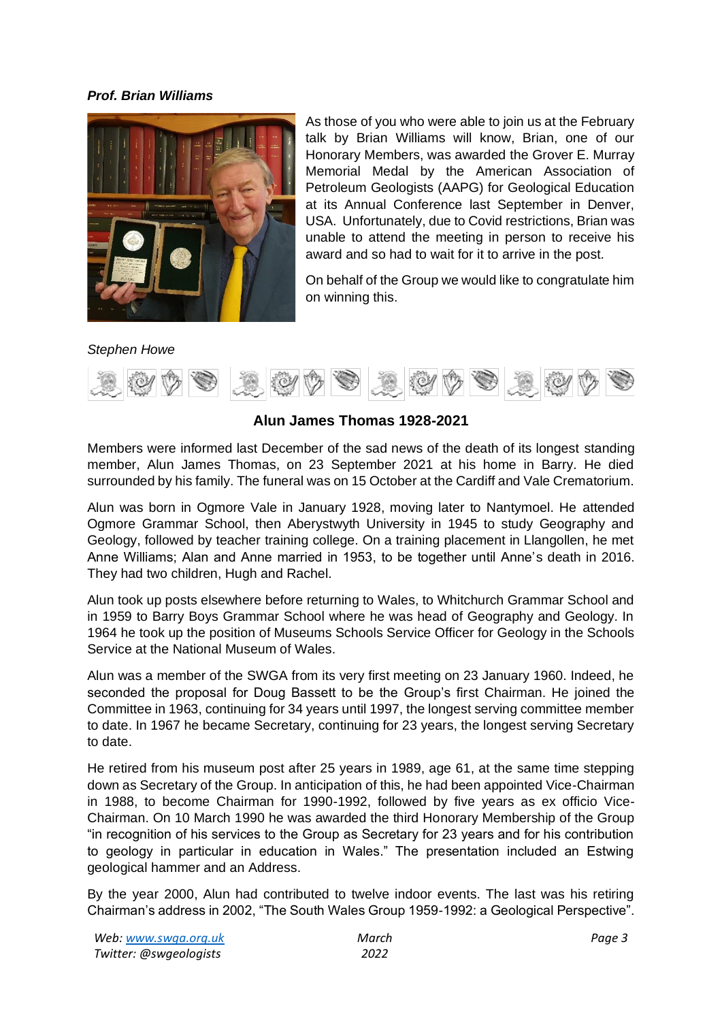#### *Prof. Brian Williams*



As those of you who were able to join us at the February talk by Brian Williams will know, Brian, one of our Honorary Members, was awarded the Grover E. Murray Memorial Medal by the American Association of Petroleum Geologists (AAPG) for Geological Education at its Annual Conference last September in Denver, USA. Unfortunately, due to Covid restrictions, Brian was unable to attend the meeting in person to receive his award and so had to wait for it to arrive in the post.

On behalf of the Group we would like to congratulate him on winning this.

#### *Stephen Howe*



# **Alun James Thomas 1928-2021**

Members were informed last December of the sad news of the death of its longest standing member, Alun James Thomas, on 23 September 2021 at his home in Barry. He died surrounded by his family. The funeral was on 15 October at the Cardiff and Vale Crematorium.

Alun was born in Ogmore Vale in January 1928, moving later to Nantymoel. He attended Ogmore Grammar School, then Aberystwyth University in 1945 to study Geography and Geology, followed by teacher training college. On a training placement in Llangollen, he met Anne Williams; Alan and Anne married in 1953, to be together until Anne's death in 2016. They had two children, Hugh and Rachel.

Alun took up posts elsewhere before returning to Wales, to Whitchurch Grammar School and in 1959 to Barry Boys Grammar School where he was head of Geography and Geology. In 1964 he took up the position of Museums Schools Service Officer for Geology in the Schools Service at the National Museum of Wales.

Alun was a member of the SWGA from its very first meeting on 23 January 1960. Indeed, he seconded the proposal for Doug Bassett to be the Group's first Chairman. He joined the Committee in 1963, continuing for 34 years until 1997, the longest serving committee member to date. In 1967 he became Secretary, continuing for 23 years, the longest serving Secretary to date.

He retired from his museum post after 25 years in 1989, age 61, at the same time stepping down as Secretary of the Group. In anticipation of this, he had been appointed Vice-Chairman in 1988, to become Chairman for 1990-1992, followed by five years as ex officio Vice-Chairman. On 10 March 1990 he was awarded the third Honorary Membership of the Group "in recognition of his services to the Group as Secretary for 23 years and for his contribution to geology in particular in education in Wales." The presentation included an Estwing geological hammer and an Address.

By the year 2000, Alun had contributed to twelve indoor events. The last was his retiring Chairman's address in 2002, "The South Wales Group 1959-1992: a Geological Perspective".

| Web: www.swga.org.uk   |
|------------------------|
| Twitter: @swgeologists |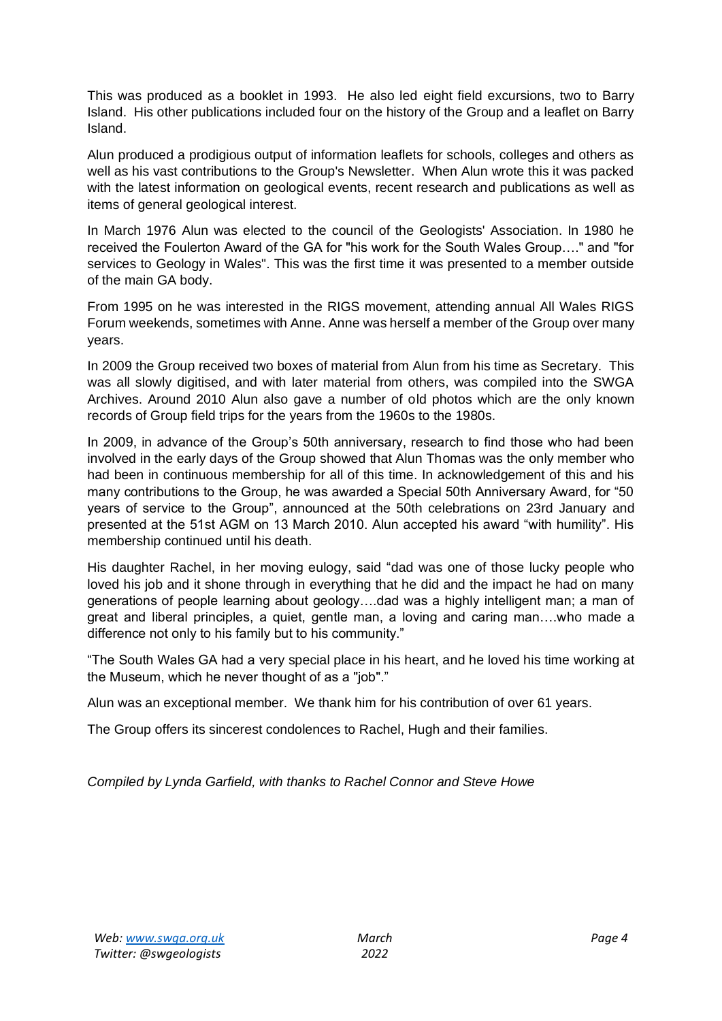This was produced as a booklet in 1993. He also led eight field excursions, two to Barry Island. His other publications included four on the history of the Group and a leaflet on Barry Island.

Alun produced a prodigious output of information leaflets for schools, colleges and others as well as his vast contributions to the Group's Newsletter. When Alun wrote this it was packed with the latest information on geological events, recent research and publications as well as items of general geological interest.

In March 1976 Alun was elected to the council of the Geologists' Association. In 1980 he received the Foulerton Award of the GA for "his work for the South Wales Group…." and "for services to Geology in Wales". This was the first time it was presented to a member outside of the main GA body.

From 1995 on he was interested in the RIGS movement, attending annual All Wales RIGS Forum weekends, sometimes with Anne. Anne was herself a member of the Group over many years.

In 2009 the Group received two boxes of material from Alun from his time as Secretary. This was all slowly digitised, and with later material from others, was compiled into the SWGA Archives. Around 2010 Alun also gave a number of old photos which are the only known records of Group field trips for the years from the 1960s to the 1980s.

In 2009, in advance of the Group's 50th anniversary, research to find those who had been involved in the early days of the Group showed that Alun Thomas was the only member who had been in continuous membership for all of this time. In acknowledgement of this and his many contributions to the Group, he was awarded a Special 50th Anniversary Award, for "50 years of service to the Group", announced at the 50th celebrations on 23rd January and presented at the 51st AGM on 13 March 2010. Alun accepted his award "with humility". His membership continued until his death.

His daughter Rachel, in her moving eulogy, said "dad was one of those lucky people who loved his job and it shone through in everything that he did and the impact he had on many generations of people learning about geology….dad was a highly intelligent man; a man of great and liberal principles, a quiet, gentle man, a loving and caring man….who made a difference not only to his family but to his community."

"The South Wales GA had a very special place in his heart, and he loved his time working at the Museum, which he never thought of as a "job"."

Alun was an exceptional member. We thank him for his contribution of over 61 years.

The Group offers its sincerest condolences to Rachel, Hugh and their families.

*Compiled by Lynda Garfield, with thanks to Rachel Connor and Steve Howe*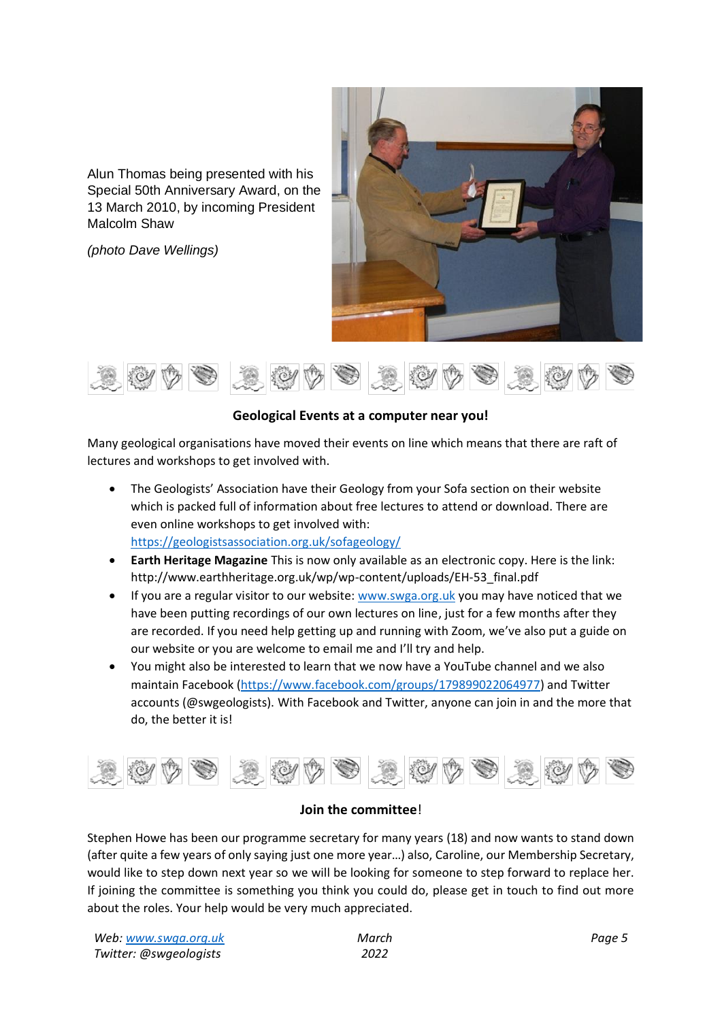Alun Thomas being presented with his Special 50th Anniversary Award, on the 13 March 2010, by incoming President Malcolm Shaw

*(photo Dave Wellings)*





# **Geological Events at a computer near you!**

Many geological organisations have moved their events on line which means that there are raft of lectures and workshops to get involved with.

• The Geologists' Association have their Geology from your Sofa section on their website which is packed full of information about free lectures to attend or download. There are even online workshops to get involved with:

<https://geologistsassociation.org.uk/sofageology/>

- **Earth Heritage Magazine** This is now only available as an electronic copy. Here is the link: http://www.earthheritage.org.uk/wp/wp-content/uploads/EH-53\_final.pdf
- If you are a regular visitor to our website: [www.swga.org.uk](http://www.swga.org.uk/) you may have noticed that we have been putting recordings of our own lectures on line, just for a few months after they are recorded. If you need help getting up and running with Zoom, we've also put a guide on our website or you are welcome to email me and I'll try and help.
- You might also be interested to learn that we now have a YouTube channel and we also maintain Facebook [\(https://www.facebook.com/groups/179899022064977\)](https://www.facebook.com/groups/179899022064977) and Twitter accounts (@swgeologists). With Facebook and Twitter, anyone can join in and the more that do, the better it is!



# **Join the committee**!

Stephen Howe has been our programme secretary for many years (18) and now wants to stand down (after quite a few years of only saying just one more year…) also, Caroline, our Membership Secretary, would like to step down next year so we will be looking for someone to step forward to replace her. If joining the committee is something you think you could do, please get in touch to find out more about the roles. Your help would be very much appreciated.

| Web: www.swga.org.uk   | March |
|------------------------|-------|
| Twitter: @swgeologists | 2022  |